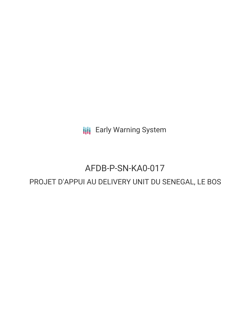**III** Early Warning System

# AFDB-P-SN-KA0-017

# PROJET D'APPUI AU DELIVERY UNIT DU SENEGAL, LE BOS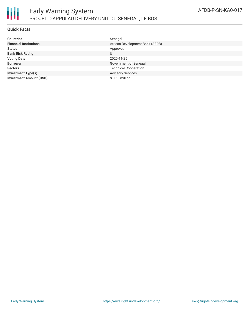

## **Quick Facts**

| <b>Countries</b>               | Senegal                         |
|--------------------------------|---------------------------------|
| <b>Financial Institutions</b>  | African Development Bank (AFDB) |
| <b>Status</b>                  | Approved                        |
| <b>Bank Risk Rating</b>        | U                               |
| <b>Voting Date</b>             | 2020-11-25                      |
| <b>Borrower</b>                | Government of Senegal           |
| <b>Sectors</b>                 | <b>Technical Cooperation</b>    |
| <b>Investment Type(s)</b>      | <b>Advisory Services</b>        |
| <b>Investment Amount (USD)</b> | $$0.60$ million                 |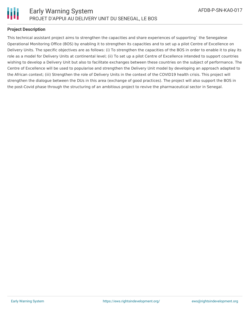

## **Project Description**

This technical assistant project aims to strengthen the capacities and share experiences of supporting` the Senegalese Operational Monitoring Office (BOS) by enabling it to strengthen its capacities and to set up a pilot Centre of Excellence on Delivery Units. The specific objectives are as follows: (i) To strengthen the capacities of the BOS in order to enable it to play its role as a model for Delivery Units at continental level; (ii) To set up a pilot Centre of Excellence intended to support countries wishing to develop a Delivery Unit but also to facilitate exchanges between these countries on the subject of performance. The Centre of Excellence will be used to popularise and strengthen the Delivery Unit model by developing an approach adapted to the African context; (iii) Strengthen the role of Delivery Units in the context of the COVID19 health crisis. This project will strengthen the dialogue between the DUs in this area (exchange of good practices). The project will also support the BOS in the post-Covid phase through the structuring of an ambitious project to revive the pharmaceutical sector in Senegal.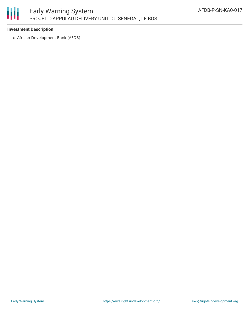

# **Investment Description**

African Development Bank (AFDB)